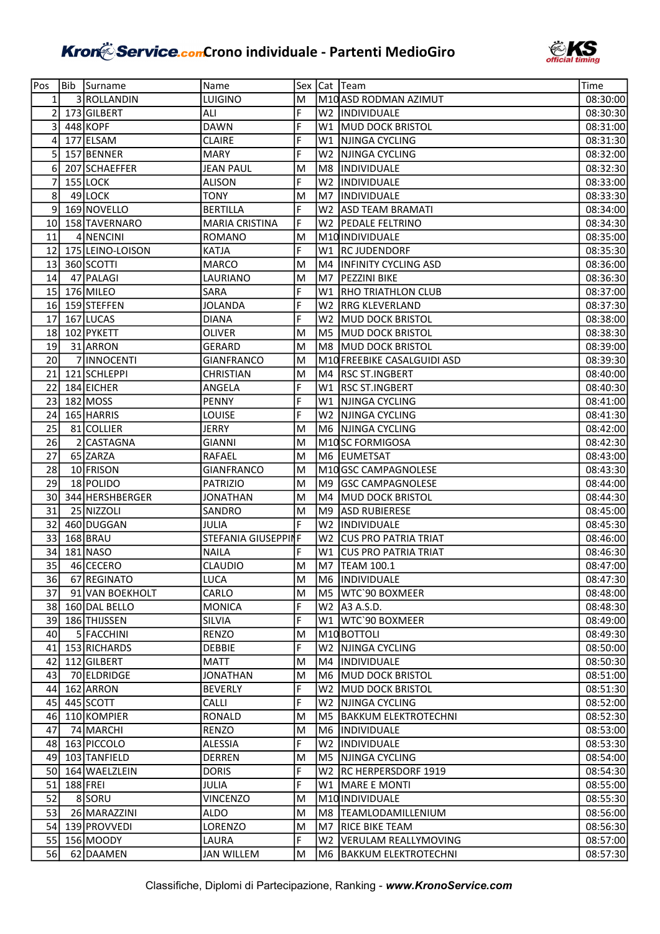

| Pos            | Bib | Surname          | Name                  |        |                | Sex Cat Team                | Time     |
|----------------|-----|------------------|-----------------------|--------|----------------|-----------------------------|----------|
| 1              |     | 3 ROLLANDIN      | <b>LUIGINO</b>        | M      |                | M10 ASD RODMAN AZIMUT       | 08:30:00 |
| 2              |     | 173 GILBERT      | ALI                   | F      | W2             | <i><b>INDIVIDUALE</b></i>   | 08:30:30 |
| 3              |     | 448 KOPF         | DAWN                  | F      | W1             | MUD DOCK BRISTOL            | 08:31:00 |
| $\overline{4}$ |     | 177 ELSAM        | <b>CLAIRE</b>         | F      | W1             | NJINGA CYCLING              | 08:31:30 |
| 5              |     | 157 BENNER       | <b>MARY</b>           | F      | W <sub>2</sub> | NJINGA CYCLING              | 08:32:00 |
| 6              |     | 207 SCHAEFFER    | <b>JEAN PAUL</b>      | M      | M8             | <i><b>INDIVIDUALE</b></i>   | 08:32:30 |
| 7              |     | 155 LOCK         | <b>ALISON</b>         | F      | W <sub>2</sub> | <b>INDIVIDUALE</b>          | 08:33:00 |
| 8              |     | 49 LOCK          | <b>TONY</b>           | M      | M7             | <b>INDIVIDUALE</b>          | 08:33:30 |
| 9              |     | 169 NOVELLO      | <b>BERTILLA</b>       | F      | W <sub>2</sub> | <b>ASD TEAM BRAMATI</b>     | 08:34:00 |
| 10             |     | 158 TAVERNARO    | <b>MARIA CRISTINA</b> | F      | W2.            | <b>PEDALE FELTRINO</b>      | 08:34:30 |
| 11             |     | 4 NENCINI        | <b>ROMANO</b>         | M      |                | M10 INDIVIDUALE             | 08:35:00 |
| 12             |     | 175 LEINO-LOISON | <b>KATJA</b>          | F      |                | W1 RC JUDENDORF             | 08:35:30 |
| 13             |     | 360 SCOTTI       | <b>MARCO</b>          | M      | M4             | <b>INFINITY CYCLING ASD</b> | 08:36:00 |
| 14             |     | 47 PALAGI        | LAURIANO              | M      | M7             | <b>PEZZINI BIKE</b>         | 08:36:30 |
| 15             |     | 176 MILEO        | SARA                  | F      | W1             | <b>RHO TRIATHLON CLUB</b>   | 08:37:00 |
| 16             |     | 159 STEFFEN      | <b>JOLANDA</b>        | F      | W <sub>2</sub> | <b>RRG KLEVERLAND</b>       | 08:37:30 |
| 17             |     | 167 LUCAS        | <b>DIANA</b>          | F      | W <sub>2</sub> | MUD DOCK BRISTOL            | 08:38:00 |
| 18             |     | 102 PYKETT       | OLIVER                | M      | M <sub>5</sub> | <b>MUD DOCK BRISTOL</b>     | 08:38:30 |
| 19             |     | 31 ARRON         | <b>GERARD</b>         | M      | M <sub>8</sub> | <b>MUD DOCK BRISTOL</b>     | 08:39:00 |
| 20             |     | 7 INNOCENTI      | <b>GIANFRANCO</b>     | M      |                | M10 FREEBIKE CASALGUIDI ASD | 08:39:30 |
| 21             |     | 121 SCHLEPPI     | <b>CHRISTIAN</b>      | M      |                | M4   RSC ST.INGBERT         | 08:40:00 |
| 22             |     | 184 EICHER       | ANGELA                | F      |                | W1   RSC ST.INGBERT         | 08:40:30 |
| 23             |     | $182$ MOSS       | <b>PENNY</b>          | F      | W1             | NJINGA CYCLING              | 08:41:00 |
| 24             |     | 165 HARRIS       | LOUISE                | F      | W2             | NJINGA CYCLING              | 08:41:30 |
| 25             |     | 81 COLLIER       | JERRY                 | M      |                | M6 NJINGA CYCLING           | 08:42:00 |
| 26             |     | 2 CASTAGNA       | <b>GIANNI</b>         | M      |                | M10SC FORMIGOSA             | 08:42:30 |
| 27             |     | 65 ZARZA         | RAFAEL                | M      |                | M6 EUMETSAT                 | 08:43:00 |
| 28             |     | 10 FRISON        | <b>GIANFRANCO</b>     | M      |                | M10 GSC CAMPAGNOLESE        | 08:43:30 |
| 29             |     | 18 POLIDO        | PATRIZIO              | M      | M <sub>9</sub> | <b>GSC CAMPAGNOLESE</b>     | 08:44:00 |
| 30             |     | 344 HERSHBERGER  | <b>JONATHAN</b>       | M      |                | M4 MUD DOCK BRISTOL         | 08:44:30 |
| 31             |     | 25 NIZZOLI       | SANDRO                | M      | M <sub>9</sub> | <b>ASD RUBIERESE</b>        | 08:45:00 |
| 32             |     | 460 DUGGAN       | JULIA                 | F      | W <sub>2</sub> | <b>INDIVIDUALE</b>          | 08:45:30 |
| 33             |     | 168 BRAU         | STEFANIA GIUSEPPINF   |        | W2.            | <b>CUS PRO PATRIA TRIAT</b> | 08:46:00 |
| 34             |     | 181 NASO         | NAILA                 | F      | W1             | <b>CUS PRO PATRIA TRIAT</b> | 08:46:30 |
| 35             |     | 46 CECERO        | <b>CLAUDIO</b>        | M      | M7             | TEAM 100.1                  | 08:47:00 |
| 36             |     | 67 REGINATO      | LUCA                  | M      |                | <b>M6 INDIVIDUALE</b>       | 08:47:30 |
| 37             |     | 91 VAN BOEKHOLT  | CARLO                 | M      |                | M5  WTC`90 BOXMEER          | 08:48:00 |
| 38             |     | 160 DAL BELLO    | <b>MONICA</b>         | F      |                | W2   A3 A.S.D.              | 08:48:30 |
| 39             |     | 186 THIJSSEN     | <b>SILVIA</b>         | F      |                | W1 WTC'90 BOXMEER           | 08:49:00 |
| 40             |     | 5 FACCHINI       | <b>RENZO</b>          | M      |                | M <sub>10</sub> BOTTOLI     | 08:49:30 |
| 41             |     | 153 RICHARDS     | <b>DEBBIE</b>         | F      | W <sub>2</sub> | NJINGA CYCLING              | 08:50:00 |
| 42             |     | 112 GILBERT      | MATT                  | M      |                | M4  INDIVIDUALE             | 08:50:30 |
| 43             |     | 70 ELDRIDGE      | <b>JONATHAN</b>       | M      |                | M6 MUD DOCK BRISTOL         | 08:51:00 |
| 44             |     | 162 ARRON        | <b>BEVERLY</b>        | F      |                | W2 MUD DOCK BRISTOL         | 08:51:30 |
| 45             |     | 445 SCOTT        | CALLI                 | F      |                | W2   NJINGA CYCLING         | 08:52:00 |
| 46             |     | 110 KOMPIER      | <b>RONALD</b>         | M      |                | M5 BAKKUM ELEKTROTECHNI     | 08:52:30 |
| 47             |     | 74 MARCHI        | <b>RENZO</b>          | M      |                | M6  INDIVIDUALE             | 08:53:00 |
| 48             |     | 163 PICCOLO      | <b>ALESSIA</b>        | F      |                | W2  INDIVIDUALE             | 08:53:30 |
| 49             |     | 103 TANFIELD     | <b>DERREN</b>         | M      |                | M5 NJINGA CYCLING           | 08:54:00 |
| 50             |     | 164 WAELZLEIN    | <b>DORIS</b>          | F      |                | W2   RC HERPERSDORF 1919    | 08:54:30 |
| 51             |     | $188$ FREI       | JULIA                 | F      |                | W1  MARE E MONTI            | 08:55:00 |
| 52             |     | 8SORU            | <b>VINCENZO</b>       | M      |                | M10 INDIVIDUALE             | 08:55:30 |
| 53             |     | 26 MARAZZINI     | <b>ALDO</b>           | M      |                | M8  TEAMLODAMILLENIUM       | 08:56:00 |
| 54             |     | 139 PROVVEDI     | LORENZO               | M<br>F |                | M7 RICE BIKE TEAM           | 08:56:30 |
| 55             |     | 156 MOODY        | LAURA                 |        |                | W2   VERULAM REALLYMOVING   | 08:57:00 |
| 56             |     | 62 DAAMEN        | <b>JAN WILLEM</b>     | M      |                | M6 BAKKUM ELEKTROTECHNI     | 08:57:30 |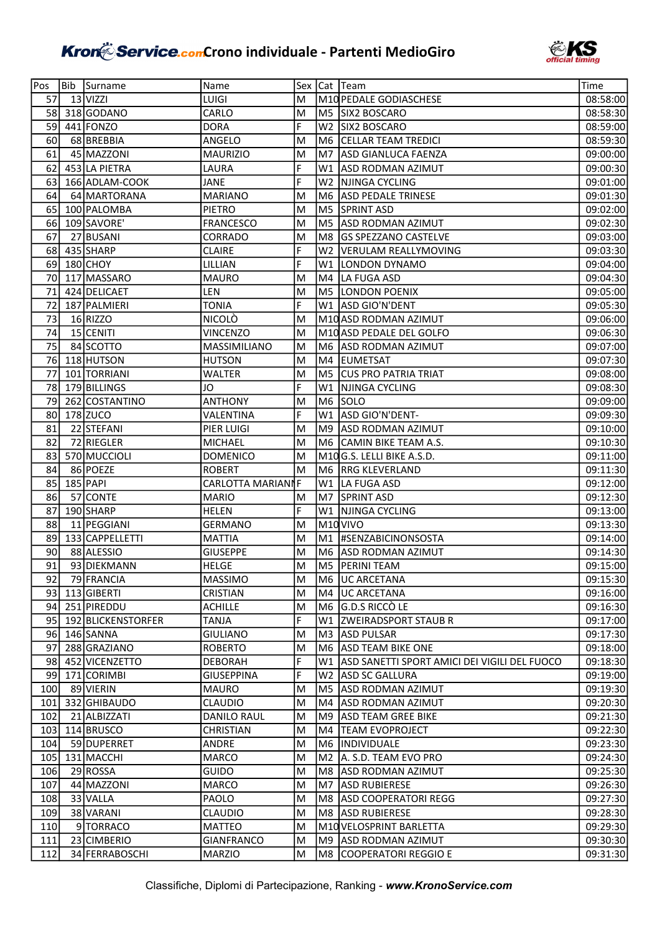

| Pos        | Bib | Surname                   | Name               |        |                | Sex Cat Team                                 | Time                 |
|------------|-----|---------------------------|--------------------|--------|----------------|----------------------------------------------|----------------------|
| 57         |     | $13$ VIZZI                | LUIGI              | M      |                | M10 PEDALE GODIASCHESE                       | 08:58:00             |
| 58         |     | 318 GODANO                | CARLO              | M      |                | M5 SIX2 BOSCARO                              | 08:58:30             |
| 59         |     | 441 FONZO                 | <b>DORA</b>        | F      | W <sub>2</sub> | <b>SIX2 BOSCARO</b>                          | 08:59:00             |
| 60         |     | 68 BREBBIA                | ANGELO             | M      | M6             | <b>CELLAR TEAM TREDICI</b>                   | 08:59:30             |
| 61         |     | 45 MAZZONI                | <b>MAURIZIO</b>    | M      | M7             | ASD GIANLUCA FAENZA                          | 09:00:00             |
| 62         |     | 453 LA PIETRA             | LAURA              | F      |                | W1 ASD RODMAN AZIMUT                         | 09:00:30             |
| 63         |     | 166 ADLAM-COOK            | JANE               | F      | W <sub>2</sub> | NJINGA CYCLING                               | 09:01:00             |
| 64         |     | 64 MARTORANA              | <b>MARIANO</b>     | M      | M <sub>6</sub> | <b>ASD PEDALE TRINESE</b>                    | 09:01:30             |
| 65         |     | 100 PALOMBA               | <b>PIETRO</b>      | M      | M <sub>5</sub> | <b>SPRINT ASD</b>                            | 09:02:00             |
| 66         |     | 109 SAVORE'               | <b>FRANCESCO</b>   | M      | M5             | ASD RODMAN AZIMUT                            | 09:02:30             |
| 67         |     | 27 BUSANI                 | CORRADO            | M      | M8             | <b>GS SPEZZANO CASTELVE</b>                  | 09:03:00             |
| 68         |     | 435 SHARP                 | <b>CLAIRE</b>      | F      |                | W2   VERULAM REALLYMOVING                    | 09:03:30             |
| 69         |     | 180 CHOY                  | LILLIAN            | F      | W1             | <b>LONDON DYNAMO</b>                         | 09:04:00             |
| 70         |     | 117 MASSARO               | <b>MAURO</b>       | M      |                | M4 LA FUGA ASD                               | 09:04:30             |
| 71         |     | 424 DELICAET              | LEN                | M      |                | M5 LONDON POENIX                             | 09:05:00             |
| 72         |     | 187 PALMIERI              | <b>TONIA</b>       | F      | W1             | ASD GIO'N'DENT                               | 09:05:30             |
| 73         |     | $16$ RIZZO                | <b>NICOLÒ</b>      | M      |                | M10 ASD RODMAN AZIMUT                        | 09:06:00             |
| 74         |     | 15 CENITI                 | <b>VINCENZO</b>    | M      |                | M10 ASD PEDALE DEL GOLFO                     | 09:06:30             |
| 75         |     | 84 SCOTTO                 | MASSIMILIANO       | M      | M6             | <b>ASD RODMAN AZIMUT</b>                     | 09:07:00             |
| 76         |     | 118 HUTSON                | <b>HUTSON</b>      | M      | M4             | <b>EUMETSAT</b>                              | 09:07:30             |
| 77         |     | 101 TORRIANI              | <b>WALTER</b>      | M      |                | M5 CUS PRO PATRIA TRIAT                      | 09:08:00             |
| 78         |     | 179 BILLINGS              | JO                 | F      | W1             | NJINGA CYCLING                               | 09:08:30             |
| 79         |     | 262 COSTANTINO            | <b>ANTHONY</b>     | M      |                | M6 SOLO                                      | 09:09:00             |
| 80         |     | 178 ZUCO                  | VALENTINA          | F      | W1             | ASD GIO'N'DENT-                              | 09:09:30             |
| 81         |     | 22 STEFANI                | PIER LUIGI         | M      | M <sub>9</sub> | ASD RODMAN AZIMUT                            | 09:10:00             |
| 82         |     | 72 RIEGLER                | <b>MICHAEL</b>     | M      |                | M6 CAMIN BIKE TEAM A.S.                      | 09:10:30             |
| 83         |     | 570 MUCCIOLI              | <b>DOMENICO</b>    | M      |                | M10G.S. LELLI BIKE A.S.D.                    | 09:11:00             |
| 84         |     | 86 POEZE                  | <b>ROBERT</b>      | M      |                | M6 RRG KLEVERLAND                            | 09:11:30             |
| 85         |     | 185 PAPI                  | CARLOTTA MARIANNF  |        |                | W1 LA FUGA ASD                               | 09:12:00             |
| 86         |     | 57 CONTE                  | <b>MARIO</b>       | M      |                | M7 SPRINT ASD                                | 09:12:30             |
| 87         |     | 190 SHARP                 | <b>HELEN</b>       | F      | W1             | NJINGA CYCLING                               | 09:13:00             |
| 88         |     | 11 PEGGIANI               | <b>GERMANO</b>     | M      |                | M <sub>10</sub> VIVO                         | 09:13:30             |
| 89         |     | 133 CAPPELLETTI           | <b>MATTIA</b>      | M      | M1             | <b>HSENZABICINONSOSTA</b>                    | 09:14:00             |
| 90         |     | 88 ALESSIO                | <b>GIUSEPPE</b>    | M      | M <sub>6</sub> | ASD RODMAN AZIMUT                            | 09:14:30             |
| 91         |     | 93 DIEKMANN               | <b>HELGE</b>       | M      | M5             | <b>PERINI TEAM</b>                           | 09:15:00             |
| 921        |     | 79 FRANCIA                | <b>MASSIMO</b>     | M      |                | <b>IM6 JUC ARCETANA</b>                      | 09:15:30             |
| 93         |     | 113 GIBERTI               | <b>CRISTIAN</b>    | M      | M4             | <b>UC ARCETANA</b>                           | 09:16:00             |
| 94         |     | 251 PIREDDU               | <b>ACHILLE</b>     | M      |                | M6 G.D.S RICCÒ LE                            | 09:16:30             |
|            |     | 95 192 BLICKENSTORFER     | <b>TANJA</b>       | F      |                | W1 ZWEIRADSPORT STAUB R                      | 09:17:00             |
|            |     | 96 146 SANNA              | <b>GIULIANO</b>    | M      |                | M3 ASD PULSAR                                | 09:17:30             |
| 97         |     | 288 GRAZIANO              | <b>ROBERTO</b>     | M      |                | M6 ASD TEAM BIKE ONE                         | 09:18:00             |
| 98         |     | 452 VICENZETTO            | <b>DEBORAH</b>     | F      | W1             | ASD SANETTI SPORT AMICI DEI VIGILI DEL FUOCO | 09:18:30             |
| 991        |     | 171 CORIMBI               | <b>GIUSEPPINA</b>  | F      |                | W2 ASD SC GALLURA                            | 09:19:00             |
| 100        |     | 89 VIERIN                 | <b>MAURO</b>       | M      |                | M5 ASD RODMAN AZIMUT                         | 09:19:30             |
| 101        |     | 332 GHIBAUDO              | <b>CLAUDIO</b>     | M      |                | M4 ASD RODMAN AZIMUT                         | 09:20:30             |
| 102        |     | 21 ALBIZZATI              | <b>DANILO RAUL</b> | M      |                | M9 ASD TEAM GREE BIKE                        | 09:21:30             |
| 103        |     | 114 BRUSCO                | <b>CHRISTIAN</b>   | M<br>M |                | M4 TEAM EVOPROJECT                           | 09:22:30             |
| 104<br>105 |     | 59 DUPERRET<br>131 MACCHI | ANDRE<br>MARCO     | M      |                | M6  INDIVIDUALE<br>M2 A. S.D. TEAM EVO PRO   | 09:23:30<br>09:24:30 |
| 106        |     | 29 ROSSA                  | <b>GUIDO</b>       | M      | M8             | <b>ASD RODMAN AZIMUT</b>                     | 09:25:30             |
| 107        |     | 44 MAZZONI                | MARCO              | M      | M7             | ASD RUBIERESE                                | 09:26:30             |
| 108        |     | 33 VALLA                  | <b>PAOLO</b>       | M      | M8             | <b>ASD COOPERATORI REGG</b>                  | 09:27:30             |
| 109        |     | 38 VARANI                 | <b>CLAUDIO</b>     | M      | M8             | <b>ASD RUBIERESE</b>                         | 09:28:30             |
| 110        |     | 9 TORRACO                 | <b>MATTEO</b>      | м      |                | M10 VELOSPRINT BARLETTA                      | 09:29:30             |
| 111        |     | 23 CIMBERIO               | <b>GIANFRANCO</b>  | M      |                | M9 ASD RODMAN AZIMUT                         | 09:30:30             |
| 112        |     | 34 FERRABOSCHI            | <b>MARZIO</b>      | M      |                | M8 COOPERATORI REGGIO E                      | 09:31:30             |
|            |     |                           |                    |        |                |                                              |                      |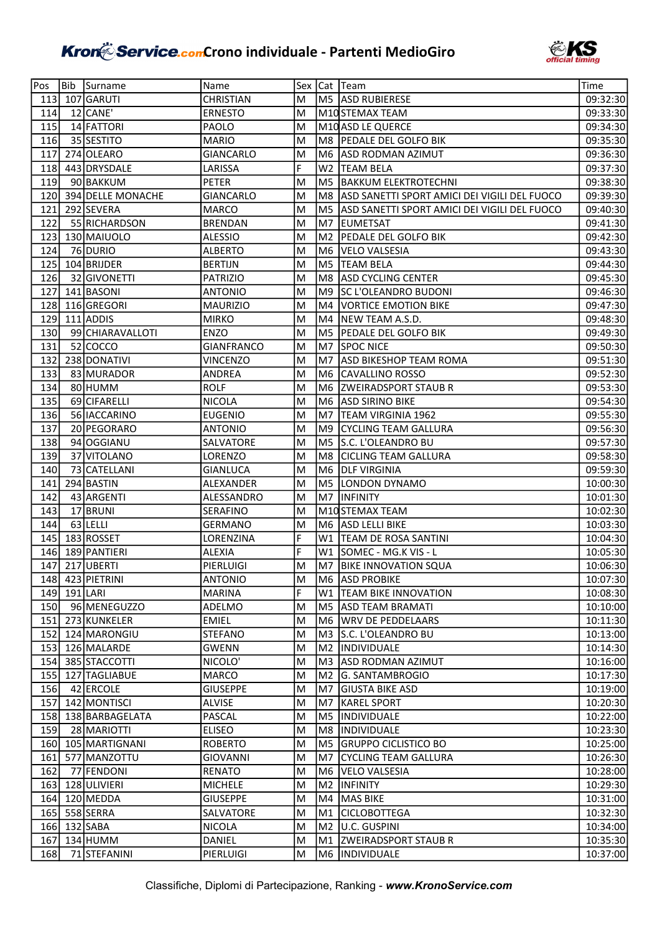

| Pos | Bib          | Surname                        | Name                         |        |                | Sex Cat Team                                 | Time                 |
|-----|--------------|--------------------------------|------------------------------|--------|----------------|----------------------------------------------|----------------------|
| 113 |              | 107 GARUTI                     | <b>CHRISTIAN</b>             | M      |                | M5  ASD RUBIERESE                            | 09:32:30             |
| 114 |              | 12 CANE'                       | <b>ERNESTO</b>               | M      |                | M10STEMAX TEAM                               | 09:33:30             |
| 115 |              | 14 FATTORI                     | <b>PAOLO</b>                 | M      |                | M10 ASD LE QUERCE                            | 09:34:30             |
| 116 |              | 35 SESTITO                     | <b>MARIO</b>                 | M      |                | M8 PEDALE DEL GOLFO BIK                      | 09:35:30             |
| 117 |              | 274 OLEARO                     | <b>GIANCARLO</b>             | M      |                | M6 ASD RODMAN AZIMUT                         | 09:36:30             |
| 118 |              | 443 DRYSDALE                   | LARISSA                      | F      | W <sub>2</sub> | <b>TEAM BELA</b>                             | 09:37:30             |
| 119 |              | 90 BAKKUM                      | PETER                        | M      | M5             | <b>BAKKUM ELEKTROTECHNI</b>                  | 09:38:30             |
| 120 |              | 394 DELLE MONACHE              | <b>GIANCARLO</b>             | M      | M8             | ASD SANETTI SPORT AMICI DEI VIGILI DEL FUOCO | 09:39:30             |
| 121 |              | 292 SEVERA                     | <b>MARCO</b>                 | M      | M5             | ASD SANETTI SPORT AMICI DEI VIGILI DEL FUOCO | 09:40:30             |
| 122 |              | 55 RICHARDSON                  | <b>BRENDAN</b>               | M      | M7             | <b>EUMETSAT</b>                              | 09:41:30             |
| 123 |              | 130 MAIUOLO                    | <b>ALESSIO</b>               | M      | M2             | PEDALE DEL GOLFO BIK                         | 09:42:30             |
| 124 |              | 76 DURIO                       | <b>ALBERTO</b>               | M      | M6             | VELO VALSESIA                                | 09:43:30             |
| 125 |              | 104 BRIJDER                    | <b>BERTIJN</b>               | M      | M5             | <b>TEAM BELA</b>                             | 09:44:30             |
| 126 |              | 32 GIVONETTI                   | <b>PATRIZIO</b>              | M      | M8             | <b>ASD CYCLING CENTER</b>                    | 09:45:30             |
| 127 |              | 141 BASONI                     | <b>ANTONIO</b>               | M      | M9             | SC L'OLEANDRO BUDONI                         | 09:46:30             |
| 128 |              | 116 GREGORI                    | <b>MAURIZIO</b>              | M      | M4             | <b>VORTICE EMOTION BIKE</b>                  | 09:47:30             |
| 129 |              | 111 ADDIS                      | <b>MIRKO</b>                 | M      | M4             | INEW TEAM A.S.D.                             | 09:48:30             |
| 130 |              | 99 CHIARAVALLOTI               | <b>ENZO</b>                  | M      | M <sub>5</sub> | <b>PEDALE DEL GOLFO BIK</b>                  | 09:49:30             |
| 131 |              | 52 COCCO                       | <b>GIANFRANCO</b>            | м      | M7             | <b>SPOC NICE</b>                             | 09:50:30             |
| 132 |              | 238 DONATIVI                   | <b>VINCENZO</b>              | M      | M7             | <b>ASD BIKESHOP TEAM ROMA</b>                | 09:51:30             |
| 133 |              | 83 MURADOR                     | <b>ANDREA</b>                | M      | M6             | CAVALLINO ROSSO                              | 09:52:30             |
| 134 |              | 80 HUMM                        | <b>ROLF</b>                  | M      | M6             | <b>ZWEIRADSPORT STAUB R</b>                  | 09:53:30             |
| 135 |              | 69 CIFARELLI                   | <b>NICOLA</b>                | M      | M6             | <b>ASD SIRINO BIKE</b>                       | 09:54:30             |
| 136 |              | 56 IACCARINO                   | <b>EUGENIO</b>               | M      | IM7            | <b>ITEAM VIRGINIA 1962</b>                   | 09:55:30             |
| 137 |              | 20 PEGORARO                    | <b>ANTONIO</b>               | M      | M9.            | <b>CYCLING TEAM GALLURA</b>                  | 09:56:30             |
| 138 |              | 94 OGGIANU                     | SALVATORE                    | M      |                | M5 S.C. L'OLEANDRO BU                        | 09:57:30             |
| 139 |              | 37 VITOLANO                    | LORENZO                      | M      | M8             | <b>CICLING TEAM GALLURA</b>                  | 09:58:30             |
| 140 |              | 73 CATELLANI                   | <b>GIANLUCA</b>              | M      | M6.            | <b>DLF VIRGINIA</b>                          | 09:59:30             |
| 141 |              | 294 BASTIN                     | ALEXANDER                    | M      |                | M5 LONDON DYNAMO                             | 10:00:30             |
| 142 |              | 43 ARGENTI                     | ALESSANDRO                   | M      | M7             | <b>INFINITY</b>                              | 10:01:30             |
| 143 |              | 17 BRUNI                       | SERAFINO                     | M      |                | M10STEMAX TEAM                               | 10:02:30             |
| 144 |              | 63 LELLI                       | GERMANO                      | M      | M6             | ASD LELLI BIKE                               | 10:03:30             |
| 145 |              | 183 ROSSET                     | LORENZINA                    | F      | W1             | <b>TEAM DE ROSA SANTINI</b>                  | 10:04:30             |
| 146 |              | 189 PANTIERI                   | <b>ALEXIA</b>                | F      | W1             | SOMEC - MG.K VIS - L                         | 10:05:30             |
| 147 |              | 217 UBERTI                     | PIERLUIGI                    | M      | M7             | <b>BIKE INNOVATION SQUA</b>                  | 10:06:30             |
|     |              | 148 423 PIETRINI               | <b>ANTONIO</b>               | M      |                | M6 ASD PROBIKE                               | 10:07:30             |
|     | 149 191 LARI |                                | <b>MARINA</b>                | F      |                | W1 TEAM BIKE INNOVATION                      | 10:08:30             |
| 150 |              | 96 MENEGUZZO                   | ADELMO                       | M      |                | M5 ASD TEAM BRAMATI                          | 10:10:00             |
| 151 |              | 273 KUNKELER                   | <b>EMIEL</b>                 | M      | M6.            | <b>WRV DE PEDDELAARS</b>                     | 10:11:30             |
|     |              | 152 124 MARONGIU               | <b>STEFANO</b>               | M      |                | M3  S.C. L'OLEANDRO BU                       | 10:13:00             |
|     |              | 153 126 MALARDE                | <b>GWENN</b>                 | M      | M2             | INDIVIDUALE                                  | 10:14:30             |
|     |              | 154 385 STACCOTTI              | NICOLO'                      | M      |                | M3 TASD RODMAN AZIMUT                        | 10:16:00             |
|     |              | 155 127 TAGLIABUE              | <b>MARCO</b>                 | M      |                | M2 G. SANTAMBROGIO                           | 10:17:30             |
| 156 |              | 42 ERCOLE                      | <b>GIUSEPPE</b>              | M      | IM7            | <b>GIUSTA BIKE ASD</b>                       | 10:19:00             |
|     |              | 157 142 MONTISCI               | <b>ALVISE</b>                | M      | IM7            | <b>KAREL SPORT</b>                           | 10:20:30             |
|     |              | 158 138 BARBAGELATA            | PASCAL                       | M      |                | M5  INDIVIDUALE                              | 10:22:00             |
| 159 |              | 28 MARIOTTI                    | <b>ELISEO</b>                | M      | M8             | <b>INDIVIDUALE</b>                           | 10:23:30             |
| 160 |              | 105 MARTIGNANI                 | <b>ROBERTO</b>               | M      | M5             | <b>GRUPPO CICLISTICO BO</b>                  | 10:25:00             |
| 161 |              | 577 MANZOTTU                   | <b>GIOVANNI</b>              | M      | M7.            | CYCLING TEAM GALLURA                         | 10:26:30             |
| 162 |              | 77 FENDONI                     | RENATO                       | M      | M6.            | <b>VELO VALSESIA</b>                         | 10:28:00             |
|     |              | 163 128 ULIVIERI               | <b>MICHELE</b>               | M      | M <sub>2</sub> | <b>INFINITY</b>                              | 10:29:30             |
|     |              | 164 120 MEDDA<br>165 558 SERRA | <b>GIUSEPPE</b><br>SALVATORE | M<br>M | M4<br>M1       | MAS BIKE<br><b>CICLOBOTTEGA</b>              | 10:31:00<br>10:32:30 |
|     |              | 166 132 SABA                   | <b>NICOLA</b>                | M      | M <sub>2</sub> | U.C. GUSPINI                                 | 10:34:00             |
| 167 |              | $134$ HUMM                     | DANIEL                       | M      | M1             | <b>ZWEIRADSPORT STAUB R</b>                  | 10:35:30             |
| 168 |              | 71 STEFANINI                   | PIERLUIGI                    | M      | M6             | <b>INDIVIDUALE</b>                           | 10:37:00             |
|     |              |                                |                              |        |                |                                              |                      |